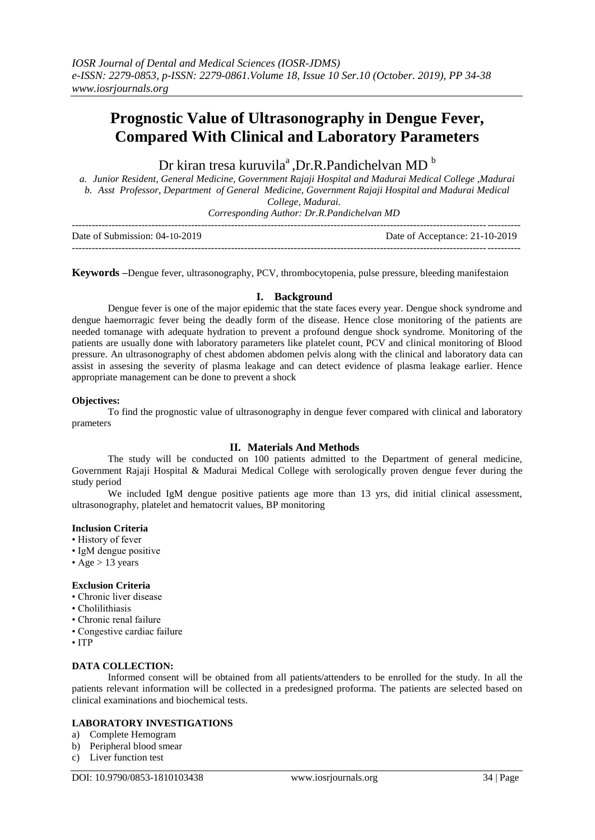# **Prognostic Value of Ultrasonography in Dengue Fever, Compared With Clinical and Laboratory Parameters**

Dr kiran tresa kuruvila<sup>a</sup>, Dr.R.Pandichelvan MD<sup>b</sup>

*a. Junior Resident, General Medicine, Government Rajaji Hospital and Madurai Medical College ,Madurai b. Asst Professor, Department of General Medicine, Government Rajaji Hospital and Madurai Medical College, Madurai.*

*Corresponding Author: Dr.R.Pandichelvan MD*

| Date of Submission: $04-10-2019$ | Date of Acceptance: 21-10-2019 |
|----------------------------------|--------------------------------|
|                                  |                                |

**Keywords –**Dengue fever, ultrasonography, PCV, thrombocytopenia, pulse pressure, bleeding manifestaion

# **I. Background**

Dengue fever is one of the major epidemic that the state faces every year. Dengue shock syndrome and dengue haemorragic fever being the deadly form of the disease. Hence close monitoring of the patients are needed tomanage with adequate hydration to prevent a profound dengue shock syndrome. Monitoring of the patients are usually done with laboratory parameters like platelet count, PCV and clinical monitoring of Blood pressure. An ultrasonography of chest abdomen abdomen pelvis along with the clinical and laboratory data can assist in assesing the severity of plasma leakage and can detect evidence of plasma leakage earlier. Hence appropriate management can be done to prevent a shock

## **Objectives:**

To find the prognostic value of ultrasonography in dengue fever compared with clinical and laboratory prameters

# **II. Materials And Methods**

The study will be conducted on 100 patients admitted to the Department of general medicine, Government Rajaji Hospital & Madurai Medical College with serologically proven dengue fever during the study period

We included IgM dengue positive patients age more than 13 yrs, did initial clinical assessment, ultrasonography, platelet and hematocrit values, BP monitoring

## **Inclusion Criteria**

- History of fever
- IgM dengue positive
- Age  $> 13$  years

## **Exclusion Criteria**

- Chronic liver disease
- Cholilithiasis
- Chronic renal failure
- Congestive cardiac failure
- ITP

## **DATA COLLECTION:**

Informed consent will be obtained from all patients/attenders to be enrolled for the study. In all the patients relevant information will be collected in a predesigned proforma. The patients are selected based on clinical examinations and biochemical tests.

# **LABORATORY INVESTIGATIONS**

- a) Complete Hemogram
- b) Peripheral blood smear
- c) Liver function test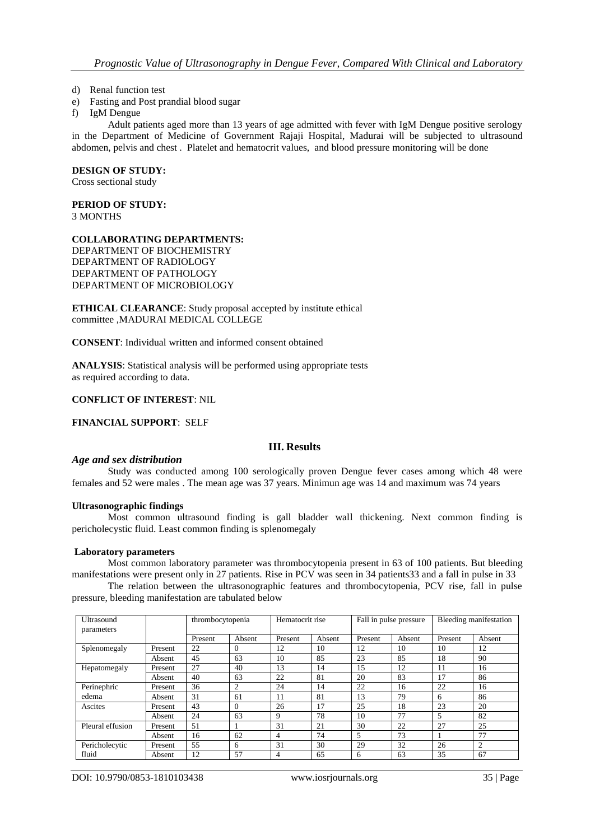- d) Renal function test
- e) Fasting and Post prandial blood sugar
- f) IgM Dengue

Adult patients aged more than 13 years of age admitted with fever with IgM Dengue positive serology in the Department of Medicine of Government Rajaji Hospital, Madurai will be subjected to ultrasound abdomen, pelvis and chest . Platelet and hematocrit values, and blood pressure monitoring will be done

#### **DESIGN OF STUDY:**

Cross sectional study

**PERIOD OF STUDY:**

3 MONTHS

#### **COLLABORATING DEPARTMENTS:**

DEPARTMENT OF BIOCHEMISTRY DEPARTMENT OF RADIOLOGY DEPARTMENT OF PATHOLOGY DEPARTMENT OF MICROBIOLOGY

**ETHICAL CLEARANCE**: Study proposal accepted by institute ethical committee ,MADURAI MEDICAL COLLEGE

**CONSENT**: Individual written and informed consent obtained

**ANALYSIS**: Statistical analysis will be performed using appropriate tests as required according to data.

## **CONFLICT OF INTEREST**: NIL

**FINANCIAL SUPPORT**: SELF

# **III. Results**

#### *Age and sex distribution*

Study was conducted among 100 serologically proven Dengue fever cases among which 48 were females and 52 were males . The mean age was 37 years. Minimun age was 14 and maximum was 74 years

#### **Ultrasonographic findings**

Most common ultrasound finding is gall bladder wall thickening. Next common finding is pericholecystic fluid. Least common finding is splenomegaly

#### **Laboratory parameters**

Most common laboratory parameter was thrombocytopenia present in 63 of 100 patients. But bleeding manifestations were present only in 27 patients. Rise in PCV was seen in 34 patients33 and a fall in pulse in 33

The relation between the ultrasonographic features and thrombocytopenia, PCV rise, fall in pulse pressure, bleeding manifestation are tabulated below

| Ultrasound<br>parameters |         | thrombocytopenia |          | Hematocrit rise |        | Fall in pulse pressure |        | Bleeding manifestation |        |
|--------------------------|---------|------------------|----------|-----------------|--------|------------------------|--------|------------------------|--------|
|                          |         | Present          | Absent   | Present         | Absent | Present                | Absent | Present                | Absent |
| Splenomegaly             | Present | 22               | $\Omega$ | 12              | 10     | 12                     | 10     | 10                     | 12     |
|                          | Absent  | 45               | 63       | 10              | 85     | 23                     | 85     | 18                     | 90     |
| Hepatomegaly             | Present | 27               | 40       | 13              | 14     | 15                     | 12     | 11                     | 16     |
|                          | Absent  | 40               | 63       | 22              | 81     | 20                     | 83     | 17                     | 86     |
| Perinephric<br>edema     | Present | 36               | 2        | 24              | 14     | 22                     | 16     | 22                     | 16     |
|                          | Absent  | 31               | 61       | 11              | 81     | 13                     | 79     | 6                      | 86     |
| Ascites                  | Present | 43               | $\Omega$ | 26              | 17     | 25                     | 18     | 23                     | 20     |
|                          | Absent  | 24               | 63       | 9               | 78     | 10                     | 77     | 5                      | 82     |
| Pleural effusion         | Present | 51               |          | 31              | 21     | 30                     | 22     | 27                     | 25     |
|                          | Absent  | 16               | 62       | 4               | 74     | 5                      | 73     |                        | 77     |
| Pericholecytic<br>fluid  | Present | 55               | 6        | 31              | 30     | 29                     | 32     | 26                     | 2      |
|                          | Absent  | 12               | 57       | 4               | 65     | 6                      | 63     | 35                     | 67     |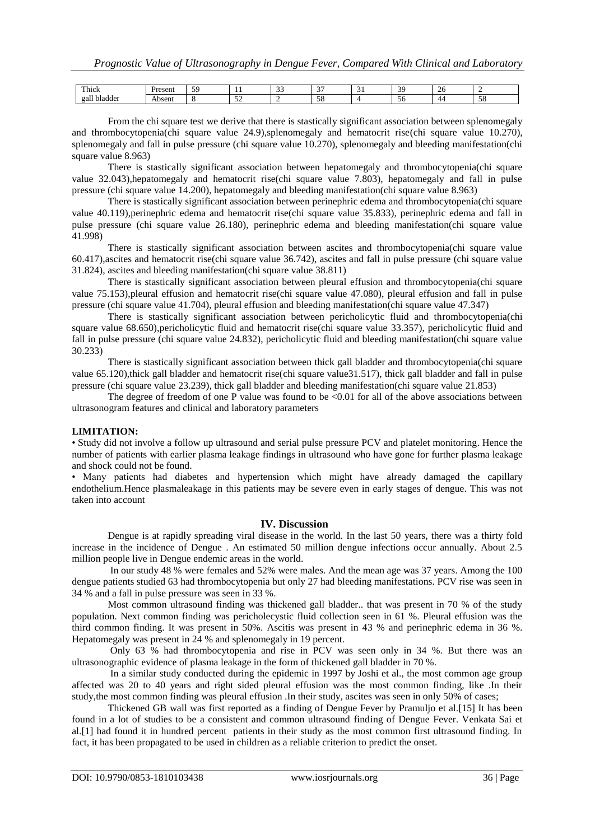| <b>CONTINUES</b><br>Thick       | <b>Brocon'</b><br>TESCHI | $\epsilon$ | . .      | $\sim$<br>-- | $\sim$ $\sim$<br>. . | . . | $\overline{c}$<br>◡ | ∼  |                     |
|---------------------------------|--------------------------|------------|----------|--------------|----------------------|-----|---------------------|----|---------------------|
| $\mathbf{H}$<br>gall<br>bladder | Absent                   |            | - -<br>- | -            | - -<br><br>.JO       |     | ЭC                  | 44 | $\epsilon$<br>- J G |

From the chi square test we derive that there is stastically significant association between splenomegaly and thrombocytopenia(chi square value 24.9),splenomegaly and hematocrit rise(chi square value 10.270), splenomegaly and fall in pulse pressure (chi square value 10.270), splenomegaly and bleeding manifestation(chi square value 8.963)

There is stastically significant association between hepatomegaly and thrombocytopenia(chi square value 32.043),hepatomegaly and hematocrit rise(chi square value 7.803), hepatomegaly and fall in pulse pressure (chi square value 14.200), hepatomegaly and bleeding manifestation(chi square value 8.963)

There is stastically significant association between perinephric edema and thrombocytopenia(chi square value 40.119),perinephric edema and hematocrit rise(chi square value 35.833), perinephric edema and fall in pulse pressure (chi square value 26.180), perinephric edema and bleeding manifestation(chi square value 41.998)

There is stastically significant association between ascites and thrombocytopenia(chi square value 60.417),ascites and hematocrit rise(chi square value 36.742), ascites and fall in pulse pressure (chi square value 31.824), ascites and bleeding manifestation(chi square value 38.811)

There is stastically significant association between pleural effusion and thrombocytopenia(chi square value 75.153),pleural effusion and hematocrit rise(chi square value 47.080), pleural effusion and fall in pulse pressure (chi square value 41.704), pleural effusion and bleeding manifestation(chi square value 47.347)

There is stastically significant association between pericholicytic fluid and thrombocytopenia(chi square value 68.650), pericholicytic fluid and hematocrit rise(chi square value 33.357), pericholicytic fluid and fall in pulse pressure (chi square value 24.832), pericholicytic fluid and bleeding manifestation(chi square value 30.233)

There is stastically significant association between thick gall bladder and thrombocytopenia(chi square value 65.120),thick gall bladder and hematocrit rise(chi square value31.517), thick gall bladder and fall in pulse pressure (chi square value 23.239), thick gall bladder and bleeding manifestation(chi square value 21.853)

The degree of freedom of one P value was found to be  $\leq 0.01$  for all of the above associations between ultrasonogram features and clinical and laboratory parameters

## **LIMITATION:**

• Study did not involve a follow up ultrasound and serial pulse pressure PCV and platelet monitoring. Hence the number of patients with earlier plasma leakage findings in ultrasound who have gone for further plasma leakage and shock could not be found.

• Many patients had diabetes and hypertension which might have already damaged the capillary endothelium.Hence plasmaleakage in this patients may be severe even in early stages of dengue. This was not taken into account

## **IV. Discussion**

Dengue is at rapidly spreading viral disease in the world. In the last 50 years, there was a thirty fold increase in the incidence of Dengue . An estimated 50 million dengue infections occur annually. About 2.5 million people live in Dengue endemic areas in the world.

In our study 48 % were females and 52% were males. And the mean age was 37 years. Among the 100 dengue patients studied 63 had thrombocytopenia but only 27 had bleeding manifestations. PCV rise was seen in 34 % and a fall in pulse pressure was seen in 33 %.

Most common ultrasound finding was thickened gall bladder.. that was present in 70 % of the study population. Next common finding was pericholecystic fluid collection seen in 61 %. Pleural effusion was the third common finding. It was present in 50%. Ascitis was present in 43 % and perinephric edema in 36 %. Hepatomegaly was present in 24 % and splenomegaly in 19 percent.

Only 63 % had thrombocytopenia and rise in PCV was seen only in 34 %. But there was an ultrasonographic evidence of plasma leakage in the form of thickened gall bladder in 70 %.

In a similar study conducted during the epidemic in 1997 by Joshi et al., the most common age group affected was 20 to 40 years and right sided pleural effusion was the most common finding, like .In their study,the most common finding was pleural effusion .In their study, ascites was seen in only 50% of cases;

Thickened GB wall was first reported as a finding of Dengue Fever by Pramuljo et al.[15] It has been found in a lot of studies to be a consistent and common ultrasound finding of Dengue Fever. Venkata Sai et al.[1] had found it in hundred percent patients in their study as the most common first ultrasound finding. In fact, it has been propagated to be used in children as a reliable criterion to predict the onset.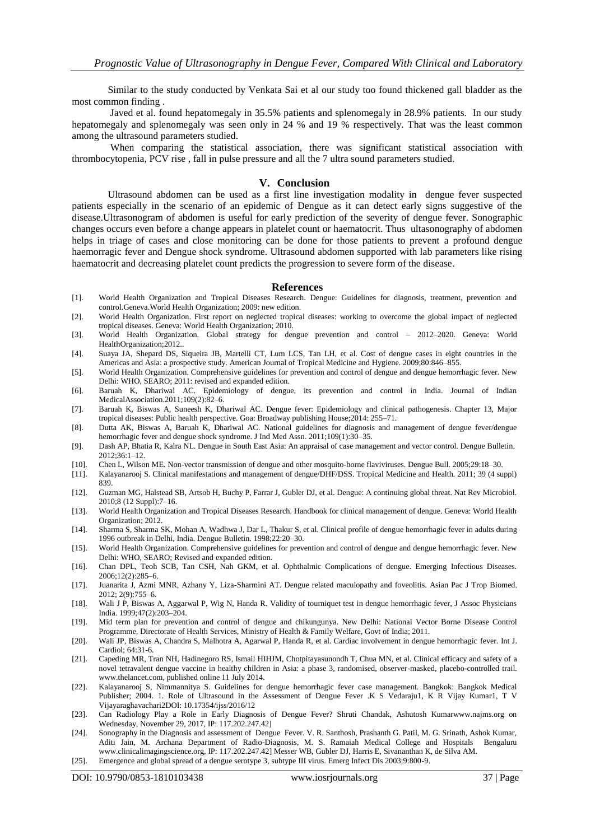Similar to the study conducted by Venkata Sai et al our study too found thickened gall bladder as the most common finding .

Javed et al. found hepatomegaly in 35.5% patients and splenomegaly in 28.9% patients. In our study hepatomegaly and splenomegaly was seen only in 24 % and 19 % respectively. That was the least common among the ultrasound parameters studied.

When comparing the statistical association, there was significant statistical association with thrombocytopenia, PCV rise , fall in pulse pressure and all the 7 ultra sound parameters studied.

#### **V. Conclusion**

Ultrasound abdomen can be used as a first line investigation modality in dengue fever suspected patients especially in the scenario of an epidemic of Dengue as it can detect early signs suggestive of the disease.Ultrasonogram of abdomen is useful for early prediction of the severity of dengue fever. Sonographic changes occurs even before a change appears in platelet count or haematocrit. Thus ultasonography of abdomen helps in triage of cases and close monitoring can be done for those patients to prevent a profound dengue haemorragic fever and Dengue shock syndrome. Ultrasound abdomen supported with lab parameters like rising haematocrit and decreasing platelet count predicts the progression to severe form of the disease.

#### **References**

- [1]. World Health Organization and Tropical Diseases Research. Dengue: Guidelines for diagnosis, treatment, prevention and control.Geneva.World Health Organization; 2009: new edition.
- [2]. World Health Organization. First report on neglected tropical diseases: working to overcome the global impact of neglected tropical diseases. Geneva: World Health Organization; 2010.
- [3]. World Health Organization. Global strategy for dengue prevention and control 2012–2020. Geneva: World HealthOrganization;2012..
- [4]. Suaya JA, Shepard DS, Siqueira JB, Martelli CT, Lum LCS, Tan LH, et al. Cost of dengue cases in eight countries in the Americas and Asia: a prospective study. American Journal of Tropical Medicine and Hygiene. 2009;80:846–855.
- [5]. World Health Organization. Comprehensive guidelines for prevention and control of dengue and dengue hemorrhagic fever. New Delhi: WHO, SEARO; 2011: revised and expanded edition.
- [6]. Baruah K, Dhariwal AC. Epidemiology of dengue, its prevention and control in India. Journal of Indian MedicalAssociation.2011;109(2):82–6.
- [7]. Baruah K, Biswas A, Suneesh K, Dhariwal AC. Dengue fever: Epidemiology and clinical pathogenesis. Chapter 13, Major tropical diseases: Public health perspective. Goa: Broadway publishing House;2014: 255–71.
- [8]. Dutta AK, Biswas A, Baruah K, Dhariwal AC. National guidelines for diagnosis and management of dengue fever/dengue hemorrhagic fever and dengue shock syndrome. J Ind Med Assn. 2011;109(1):30–35.
- [9]. Dash AP, Bhatia R, Kalra NL. Dengue in South East Asia: An appraisal of case management and vector control. Dengue Bulletin. 2012;36:1–12.
- [10]. Chen L, Wilson ME. Non-vector transmission of dengue and other mosquito-borne flaviviruses. Dengue Bull. 2005;29:18–30.
- [11]. Kalayanarooj S. Clinical manifestations and management of dengue/DHF/DSS. Tropical Medicine and Health. 2011; 39 (4 suppl) 839.
- [12]. Guzman MG, Halstead SB, Artsob H, Buchy P, Farrar J, Gubler DJ, et al. Dengue: A continuing global threat. Nat Rev Microbiol. 2010;8 (12 Suppl):7–16.
- [13]. World Health Organization and Tropical Diseases Research. Handbook for clinical management of dengue. Geneva: World Health Organization; 2012.
- [14]. Sharma S, Sharma SK, Mohan A, Wadhwa J, Dar L, Thakur S, et al. Clinical profile of dengue hemorrhagic fever in adults during 1996 outbreak in Delhi, India. Dengue Bulletin. 1998;22:20–30.
- [15]. World Health Organization. Comprehensive guidelines for prevention and control of dengue and dengue hemorrhagic fever. New Delhi: WHO, SEARO; Revised and expanded edition.
- [16]. Chan DPL, Teoh SCB, Tan CSH, Nah GKM, et al. Ophthalmic Complications of dengue. Emerging Infectious Diseases. 2006;12(2):285–6.
- [17]. Juanarita J, Azmi MNR, Azhany Y, Liza-Sharmini AT. Dengue related maculopathy and foveolitis. Asian Pac J Trop Biomed. 2012; 2(9):755–6.
- [18]. Wali J P, Biswas A, Aggarwal P, Wig N, Handa R. Validity of tourniquet test in dengue hemorrhagic fever, J Assoc Physicians India. 1999;47(2):203–204.
- [19]. Mid term plan for prevention and control of dengue and chikungunya. New Delhi: National Vector Borne Disease Control Programme, Directorate of Health Services, Ministry of Health & Family Welfare, Govt of India; 2011.
- [20]. Wali JP, Biswas A, Chandra S, Malhotra A, Agarwal P, Handa R, et al. Cardiac involvement in dengue hemorrhagic fever. Int J. Cardiol; 64:31-6.
- [21]. Capeding MR, Tran NH, Hadinegoro RS, Ismail HIHJM, Chotpitayasunondh T, Chua MN, et al. Clinical efficacy and safety of a novel tetravalent dengue vaccine in healthy children in Asia: a phase 3, randomised, observer-masked, placebo-controlled trail. www.thelancet.com, published online 11 July 2014.
- [22]. Kalayanarooj S, Nimmannitya S. Guidelines for dengue hemorrhagic fever case management. Bangkok: Bangkok Medical Publisher; 2004. 1. Role of Ultrasound in the Assessment of Dengue Fever .K S Vedaraju1, K R Vijay Kumar1, T V Vijayaraghavachari2DOI: 10.17354/ijss/2016/12
- [23]. Can Radiology Play a Role in Early Diagnosis of Dengue Fever? Shruti Chandak, Ashutosh Kumarwww.najms.org on Wednesday, November 29, 2017, IP: 117.202.247.42]
- [24]. Sonography in the Diagnosis and assessment of Dengue Fever. V. R. Santhosh, Prashanth G. Patil, M. G. Srinath, Ashok Kumar, Aditi Jain, M. Archana Department of Radio-Diagnosis, M. S. Ramaiah Medical College and Hospitals Bengaluru www.clinicalimagingscience.org, IP: 117.202.247.42] Messer WB, Gubler DJ, Harris E, Sivananthan K, de Silva AM.
- [25]. Emergence and global spread of a dengue serotype 3, subtype III virus. Emerg Infect Dis 2003;9:800-9.